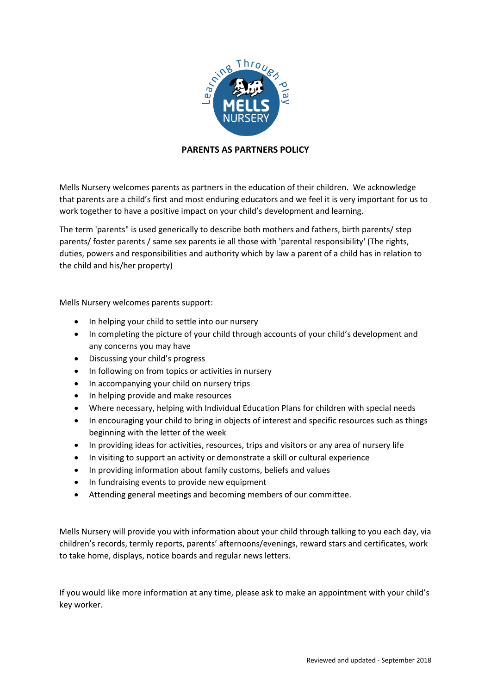

## **PARENTS AS PARTNERS POLICY**

Mells Nursery welcomes parents as partners in the education of their children. We acknowledge that parents are a child's first and most enduring educators and we feel it is very important for us to work together to have a positive impact on your child's development and learning.

The term 'parents" is used generically to describe both mothers and fathers, birth parents/ step parents/ foster parents / same sex parents ie all those with 'parental responsibility' (The rights, duties, powers and responsibilities and authority which by law a parent of a child has in relation to the child and his/her property)

Mells Nursery welcomes parents support:

- In helping your child to settle into our nursery
- In completing the picture of your child through accounts of your child's development and any concerns you may have
- Discussing your child's progress
- In following on from topics or activities in nursery
- In accompanying your child on nursery trips
- In helping provide and make resources
- Where necessary, helping with Individual Education Plans for children with special needs
- In encouraging your child to bring in objects of interest and specific resources such as things beginning with the letter of the week
- In providing ideas for activities, resources, trips and visitors or any area of nursery life
- In visiting to support an activity or demonstrate a skill or cultural experience
- In providing information about family customs, beliefs and values
- In fundraising events to provide new equipment
- Attending general meetings and becoming members of our committee.

Mells Nursery will provide you with information about your child through talking to you each day, via children's records, termly reports, parents' afternoons/evenings, reward stars and certificates, work to take home, displays, notice boards and regular news letters.

If you would like more information at any time, please ask to make an appointment with your child's key worker.